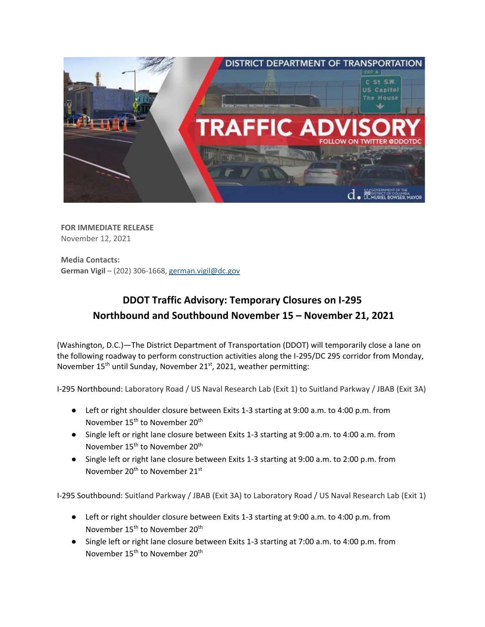

**FOR IMMEDIATE RELEASE** November 12, 2021

**Media Contacts: German Vigil** – (202) 306-1668[, german.vigil@dc.gov](mailto:german.vigil@dc.gov)

## **DDOT Traffic Advisory: Temporary Closures on I-295 Northbound and Southbound November 15 – November 21, 2021**

(Washington, D.C.)—The District Department of Transportation (DDOT) will temporarily close a lane on the following roadway to perform construction activities along the I-295/DC 295 corridor from Monday, November 15<sup>th</sup> until Sunday, November 21<sup>st</sup>, 2021, weather permitting:

I-295 Northbound: Laboratory Road / US Naval Research Lab (Exit 1) to Suitland Parkway / JBAB (Exit 3A)

- Left or right shoulder closure between Exits 1-3 starting at 9:00 a.m. to 4:00 p.m. from November 15<sup>th</sup> to November 20<sup>th</sup>
- Single left or right lane closure between Exits 1-3 starting at 9:00 a.m. to 4:00 a.m. from November 15<sup>th</sup> to November 20<sup>th</sup>
- Single left or right lane closure between Exits 1-3 starting at 9:00 a.m. to 2:00 p.m. from November 20<sup>th</sup> to November 21<sup>st</sup>

I-295 Southbound: Suitland Parkway / JBAB (Exit 3A) to Laboratory Road / US Naval Research Lab (Exit 1)

- Left or right shoulder closure between Exits 1-3 starting at 9:00 a.m. to 4:00 p.m. from November 15<sup>th</sup> to November 20<sup>th</sup>
- Single left or right lane closure between Exits 1-3 starting at 7:00 a.m. to 4:00 p.m. from November 15<sup>th</sup> to November 20<sup>th</sup>